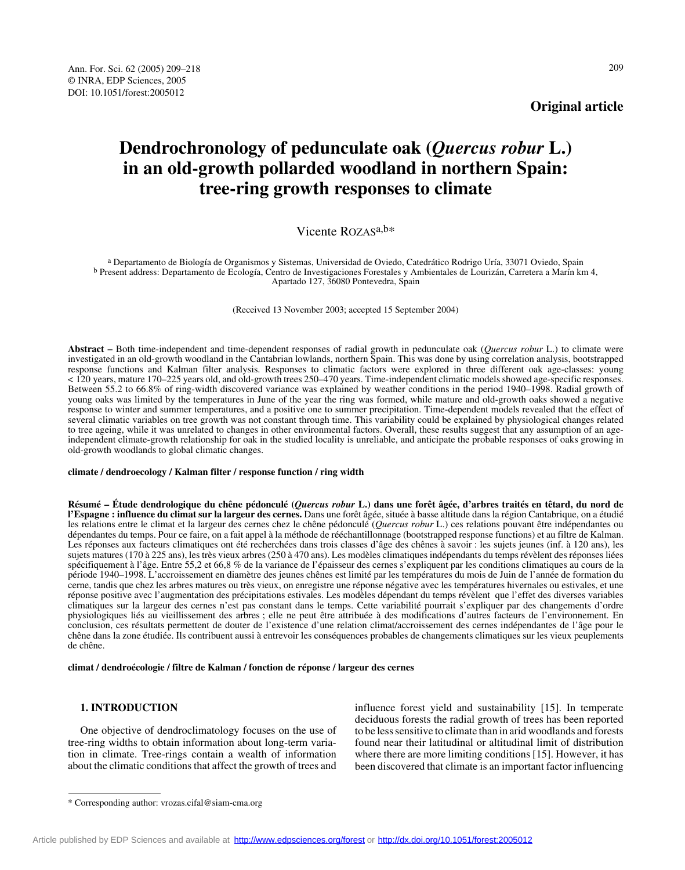**Original article**

# **Dendrochronology of pedunculate oak (***Quercus robur* **L.) in an old-growth pollarded woodland in northern Spain: tree-ring growth responses to climate**

## Vicente ROZASa,b\*

a Departamento de Biología de Organismos y Sistemas, Universidad de Oviedo, Catedrático Rodrigo Uría, 33071 Oviedo, Spain b Present address: Departamento de Ecología, Centro de Investigaciones Forestales y Ambientales de Lourizán, Carretera a Marín km 4, Apartado 127, 36080 Pontevedra, Spain

(Received 13 November 2003; accepted 15 September 2004)

**Abstract –** Both time-independent and time-dependent responses of radial growth in pedunculate oak (*Quercus robur* L.) to climate were investigated in an old-growth woodland in the Cantabrian lowlands, northern Spain. This was done by using correlation analysis, bootstrapped response functions and Kalman filter analysis. Responses to climatic factors were explored in three different oak age-classes: young < 120 years, mature 170–225 years old, and old-growth trees 250–470 years. Time-independent climatic models showed age-specific responses. Between 55.2 to 66.8% of ring-width discovered variance was explained by weather conditions in the period 1940–1998. Radial growth of young oaks was limited by the temperatures in June of the year the ring was formed, while mature and old-growth oaks showed a negative response to winter and summer temperatures, and a positive one to summer precipitation. Time-dependent models revealed that the effect of several climatic variables on tree growth was not constant through time. This variability could be explained by physiological changes related to tree ageing, while it was unrelated to changes in other environmental factors. Overall, these results suggest that any assumption of an ageindependent climate-growth relationship for oak in the studied locality is unreliable, and anticipate the probable responses of oaks growing in old-growth woodlands to global climatic changes.

#### **climate / dendroecology / Kalman filter / response function / ring width**

**Résumé – Étude dendrologique du chêne pédonculé (***Quercus robur* **L.) dans une forêt âgée, d'arbres traités en têtard, du nord de l'Espagne : influence du climat sur la largeur des cernes.** Dans une forêt âgée, située à basse altitude dans la région Cantabrique, on a étudié les relations entre le climat et la largeur des cernes chez le chêne pédonculé (*Quercus robur* L.) ces relations pouvant être indépendantes ou dépendantes du temps. Pour ce faire, on a fait appel à la méthode de rééchantillonnage (bootstrapped response functions) et au filtre de Kalman. Les réponses aux facteurs climatiques ont été recherchées dans trois classes d'âge des chênes à savoir : les sujets jeunes (inf. à 120 ans), les sujets matures (170 à 225 ans), les très vieux arbres (250 à 470 ans). Les modèles climatiques indépendants du temps révèlent des réponses liées spécifiquement à l'âge. Entre 55,2 et 66,8 % de la variance de l'épaisseur des cernes s'expliquent par les conditions climatiques au cours de la période 1940–1998. L'accroissement en diamètre des jeunes chênes est limité par les températures du mois de Juin de l'année de formation du cerne, tandis que chez les arbres matures ou très vieux, on enregistre une réponse négative avec les températures hivernales ou estivales, et une réponse positive avec l'augmentation des précipitations estivales. Les modèles dépendant du temps révèlent que l'effet des diverses variables climatiques sur la largeur des cernes n'est pas constant dans le temps. Cette variabilité pourrait s'expliquer par des changements d'ordre physiologiques liés au vieillissement des arbres ; elle ne peut être attribuée à des modifications d'autres facteurs de l'environnement. En conclusion, ces résultats permettent de douter de l'existence d'une relation climat/accroissement des cernes indépendantes de l'âge pour le chêne dans la zone étudiée. Ils contribuent aussi à entrevoir les conséquences probables de changements climatiques sur les vieux peuplements de chêne.

**climat / dendroécologie / filtre de Kalman / fonction de réponse / largeur des cernes**

## **1. INTRODUCTION**

One objective of dendroclimatology focuses on the use of tree-ring widths to obtain information about long-term variation in climate. Tree-rings contain a wealth of information about the climatic conditions that affect the growth of trees and

influence forest yield and sustainability [15]. In temperate deciduous forests the radial growth of trees has been reported to be less sensitive to climate than in arid woodlands and forests found near their latitudinal or altitudinal limit of distribution where there are more limiting conditions [15]. However, it has been discovered that climate is an important factor influencing

<sup>\*</sup> Corresponding author: vrozas.cifal@siam-cma.org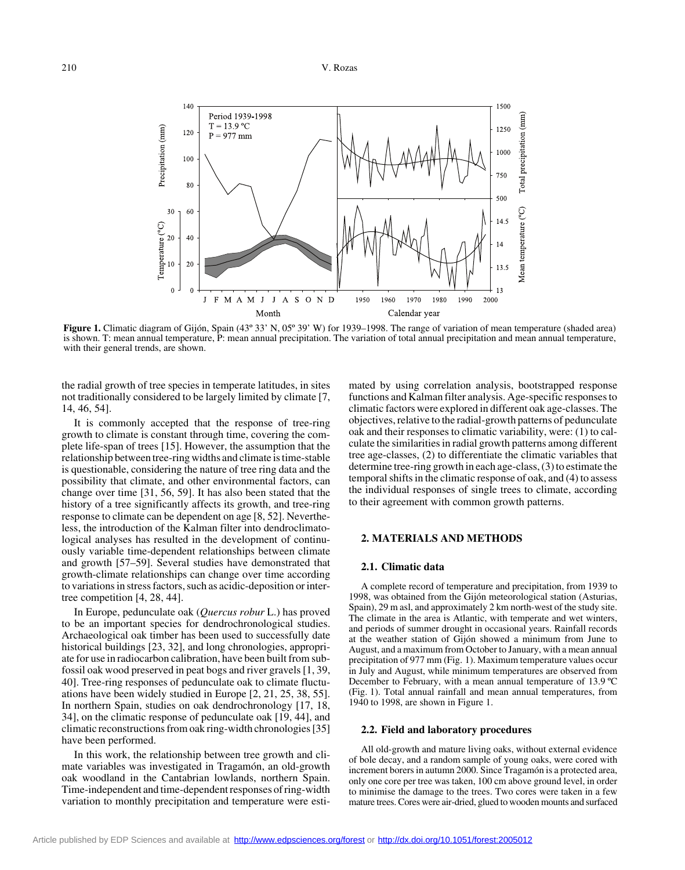

**Figure 1.** Climatic diagram of Gijón, Spain (43° 33' N, 05° 39' W) for 1939–1998. The range of variation of mean temperature (shaded area) is shown. T: mean annual temperature, P: mean annual precipitation. The variation of total annual precipitation and mean annual temperature, with their general trends, are shown.

the radial growth of tree species in temperate latitudes, in sites not traditionally considered to be largely limited by climate [7, 14, 46, 54].

It is commonly accepted that the response of tree-ring growth to climate is constant through time, covering the complete life-span of trees [15]. However, the assumption that the relationship between tree-ring widths and climate is time-stable is questionable, considering the nature of tree ring data and the possibility that climate, and other environmental factors, can change over time [31, 56, 59]. It has also been stated that the history of a tree significantly affects its growth, and tree-ring response to climate can be dependent on age [8, 52]. Nevertheless, the introduction of the Kalman filter into dendroclimatological analyses has resulted in the development of continuously variable time-dependent relationships between climate and growth [57–59]. Several studies have demonstrated that growth-climate relationships can change over time according to variations in stress factors, such as acidic-deposition or intertree competition [4, 28, 44].

In Europe, pedunculate oak (*Quercus robur* L.) has proved to be an important species for dendrochronological studies. Archaeological oak timber has been used to successfully date historical buildings [23, 32], and long chronologies, appropriate for use in radiocarbon calibration, have been built from subfossil oak wood preserved in peat bogs and river gravels [1, 39, 40]. Tree-ring responses of pedunculate oak to climate fluctuations have been widely studied in Europe [2, 21, 25, 38, 55]. In northern Spain, studies on oak dendrochronology [17, 18, 34], on the climatic response of pedunculate oak [19, 44], and climatic reconstructions from oak ring-width chronologies [35] have been performed.

In this work, the relationship between tree growth and climate variables was investigated in Tragamón, an old-growth oak woodland in the Cantabrian lowlands, northern Spain. Time-independent and time-dependent responses of ring-width variation to monthly precipitation and temperature were estimated by using correlation analysis, bootstrapped response functions and Kalman filter analysis. Age-specific responses to climatic factors were explored in different oak age-classes. The objectives, relative to the radial-growth patterns of pedunculate oak and their responses to climatic variability, were: (1) to calculate the similarities in radial growth patterns among different tree age-classes, (2) to differentiate the climatic variables that determine tree-ring growth in each age-class, (3) to estimate the temporal shifts in the climatic response of oak, and (4) to assess the individual responses of single trees to climate, according to their agreement with common growth patterns.

## **2. MATERIALS AND METHODS**

## **2.1. Climatic data**

A complete record of temperature and precipitation, from 1939 to 1998, was obtained from the Gijón meteorological station (Asturias, Spain), 29 m asl, and approximately 2 km north-west of the study site. The climate in the area is Atlantic, with temperate and wet winters, and periods of summer drought in occasional years. Rainfall records at the weather station of Gijón showed a minimum from June to August, and a maximum from October to January, with a mean annual precipitation of 977 mm (Fig. 1). Maximum temperature values occur in July and August, while minimum temperatures are observed from December to February, with a mean annual temperature of 13.9 ºC (Fig. 1). Total annual rainfall and mean annual temperatures, from 1940 to 1998, are shown in Figure 1.

#### **2.2. Field and laboratory procedures**

All old-growth and mature living oaks, without external evidence of bole decay, and a random sample of young oaks, were cored with increment borers in autumn 2000. Since Tragamón is a protected area, only one core per tree was taken, 100 cm above ground level, in order to minimise the damage to the trees. Two cores were taken in a few mature trees. Cores were air-dried, glued to wooden mounts and surfaced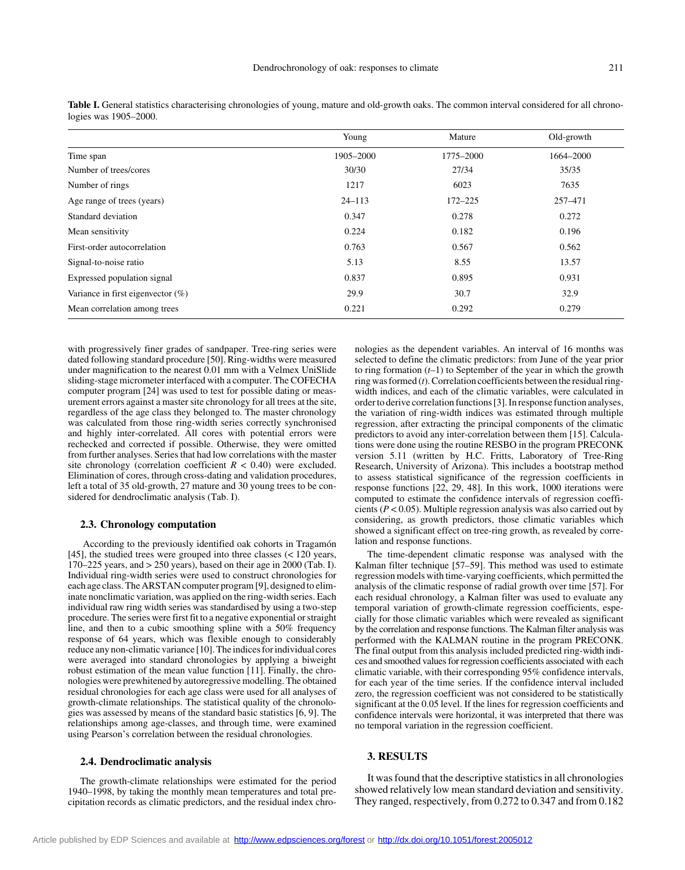|                                      | Young      | Mature      | Old-growth |
|--------------------------------------|------------|-------------|------------|
| Time span                            | 1905-2000  | 1775-2000   | 1664–2000  |
| Number of trees/cores                | 30/30      | 27/34       | 35/35      |
| Number of rings                      | 1217       | 6023        | 7635       |
| Age range of trees (years)           | $24 - 113$ | $172 - 225$ | 257-471    |
| Standard deviation                   | 0.347      | 0.278       | 0.272      |
| Mean sensitivity                     | 0.224      | 0.182       | 0.196      |
| First-order autocorrelation          | 0.763      | 0.567       | 0.562      |
| Signal-to-noise ratio                | 5.13       | 8.55        | 13.57      |
| Expressed population signal          | 0.837      | 0.895       | 0.931      |
| Variance in first eigenvector $(\%)$ | 29.9       | 30.7        | 32.9       |
| Mean correlation among trees         | 0.221      | 0.292       | 0.279      |

Table I. General statistics characterising chronologies of young, mature and old-growth oaks. The common interval considered for all chronologies was 1905–2000.

with progressively finer grades of sandpaper. Tree-ring series were dated following standard procedure [50]. Ring-widths were measured under magnification to the nearest 0.01 mm with a Velmex UniSlide sliding-stage micrometer interfaced with a computer. The COFECHA computer program [24] was used to test for possible dating or measurement errors against a master site chronology for all trees at the site, regardless of the age class they belonged to. The master chronology was calculated from those ring-width series correctly synchronised and highly inter-correlated. All cores with potential errors were rechecked and corrected if possible. Otherwise, they were omitted from further analyses. Series that had low correlations with the master site chronology (correlation coefficient  $R < 0.40$ ) were excluded. Elimination of cores, through cross-dating and validation procedures, left a total of 35 old-growth, 27 mature and 30 young trees to be considered for dendroclimatic analysis (Tab. I).

## **2.3. Chronology computation**

 According to the previously identified oak cohorts in Tragamón [45], the studied trees were grouped into three classes  $\ll 120$  years, 170–225 years, and > 250 years), based on their age in 2000 (Tab. I). Individual ring-width series were used to construct chronologies for each age class. The ARSTAN computer program [9], designed to eliminate nonclimatic variation, was applied on the ring-width series. Each individual raw ring width series was standardised by using a two-step procedure. The series were first fit to a negative exponential or straight line, and then to a cubic smoothing spline with a 50% frequency response of 64 years, which was flexible enough to considerably reduce any non-climatic variance [10]. The indices for individual cores were averaged into standard chronologies by applying a biweight robust estimation of the mean value function [11]. Finally, the chronologies were prewhitened by autoregressive modelling. The obtained residual chronologies for each age class were used for all analyses of growth-climate relationships. The statistical quality of the chronologies was assessed by means of the standard basic statistics [6, 9]. The relationships among age-classes, and through time, were examined using Pearson's correlation between the residual chronologies.

#### **2.4. Dendroclimatic analysis**

The growth-climate relationships were estimated for the period 1940–1998, by taking the monthly mean temperatures and total precipitation records as climatic predictors, and the residual index chronologies as the dependent variables. An interval of 16 months was selected to define the climatic predictors: from June of the year prior to ring formation (*t*–1) to September of the year in which the growth ring was formed (*t*). Correlation coefficients between the residual ringwidth indices, and each of the climatic variables, were calculated in order to derive correlation functions [3]. In response function analyses, the variation of ring-width indices was estimated through multiple regression, after extracting the principal components of the climatic predictors to avoid any inter-correlation between them [15]. Calculations were done using the routine RESBO in the program PRECONK version 5.11 (written by H.C. Fritts, Laboratory of Tree-Ring Research, University of Arizona). This includes a bootstrap method to assess statistical significance of the regression coefficients in response functions [22, 29, 48]. In this work, 1000 iterations were computed to estimate the confidence intervals of regression coefficients (*P* < 0.05). Multiple regression analysis was also carried out by considering, as growth predictors, those climatic variables which showed a significant effect on tree-ring growth, as revealed by correlation and response functions.

The time-dependent climatic response was analysed with the Kalman filter technique [57–59]. This method was used to estimate regression models with time-varying coefficients, which permitted the analysis of the climatic response of radial growth over time [57]. For each residual chronology, a Kalman filter was used to evaluate any temporal variation of growth-climate regression coefficients, especially for those climatic variables which were revealed as significant by the correlation and response functions. The Kalman filter analysis was performed with the KALMAN routine in the program PRECONK. The final output from this analysis included predicted ring-width indices and smoothed values for regression coefficients associated with each climatic variable, with their corresponding 95% confidence intervals, for each year of the time series. If the confidence interval included zero, the regression coefficient was not considered to be statistically significant at the 0.05 level. If the lines for regression coefficients and confidence intervals were horizontal, it was interpreted that there was no temporal variation in the regression coefficient.

#### **3. RESULTS**

It was found that the descriptive statistics in all chronologies showed relatively low mean standard deviation and sensitivity. They ranged, respectively, from 0.272 to 0.347 and from 0.182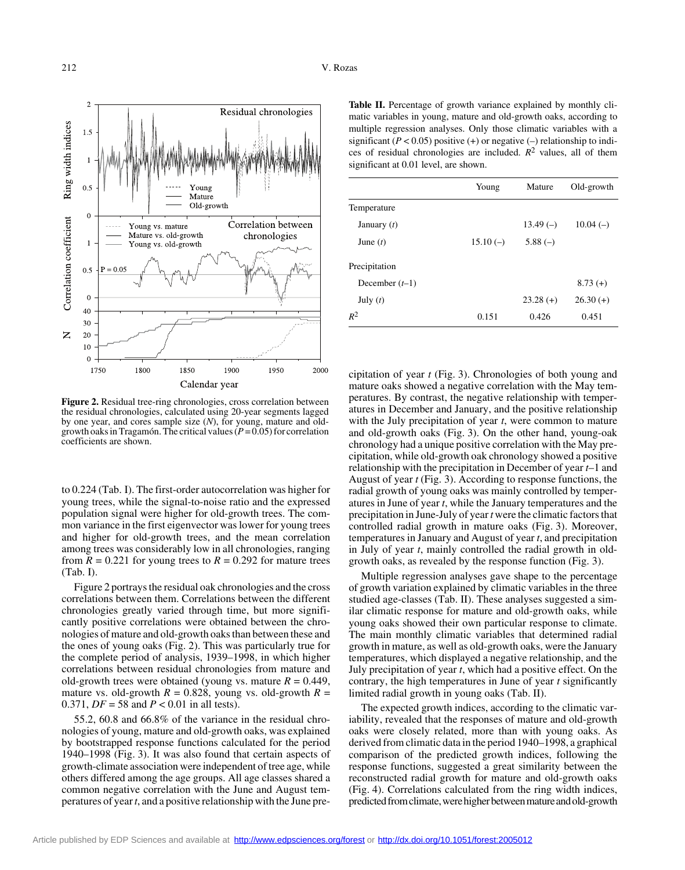

**Figure 2.** Residual tree-ring chronologies, cross correlation between the residual chronologies, calculated using 20-year segments lagged by one year, and cores sample size (*N*), for young, mature and oldgrowth oaks in Tragamón. The critical values (*P* = 0.05) for correlation coefficients are shown.

to 0.224 (Tab. I). The first-order autocorrelation was higher for young trees, while the signal-to-noise ratio and the expressed population signal were higher for old-growth trees. The common variance in the first eigenvector was lower for young trees and higher for old-growth trees, and the mean correlation among trees was considerably low in all chronologies, ranging from  $R = 0.221$  for young trees to  $R = 0.292$  for mature trees (Tab. I).

Figure 2 portrays the residual oak chronologies and the cross correlations between them. Correlations between the different chronologies greatly varied through time, but more significantly positive correlations were obtained between the chronologies of mature and old-growth oaks than between these and the ones of young oaks (Fig. 2). This was particularly true for the complete period of analysis, 1939–1998, in which higher correlations between residual chronologies from mature and old-growth trees were obtained (young vs. mature  $R = 0.449$ , mature vs. old-growth  $R = 0.828$ , young vs. old-growth  $R =$ 0.371, *DF* = 58 and *P* < 0.01 in all tests).

55.2, 60.8 and 66.8% of the variance in the residual chronologies of young, mature and old-growth oaks, was explained by bootstrapped response functions calculated for the period 1940–1998 (Fig. 3). It was also found that certain aspects of growth-climate association were independent of tree age, while others differed among the age groups. All age classes shared a common negative correlation with the June and August temperatures of year *t*, and a positive relationship with the June pre-

Table II. Percentage of growth variance explained by monthly climatic variables in young, mature and old-growth oaks, according to multiple regression analyses. Only those climatic variables with a significant  $(P < 0.05)$  positive  $(+)$  or negative  $(-)$  relationship to indices of residual chronologies are included.  $R^2$  values, all of them significant at 0.01 level, are shown.

|                  | Young      | Mature     | Old-growth |
|------------------|------------|------------|------------|
| Temperature      |            |            |            |
| January $(t)$    |            | $13.49(-)$ | $10.04(-)$ |
| June $(t)$       | $15.10(-)$ | $5.88(-)$  |            |
| Precipitation    |            |            |            |
| December $(t-1)$ |            |            | $8.73(+)$  |
| July $(t)$       |            | $23.28(+)$ | $26.30(+)$ |
| $R^2$            | 0.151      | 0.426      | 0.451      |

cipitation of year *t* (Fig. 3). Chronologies of both young and mature oaks showed a negative correlation with the May temperatures. By contrast, the negative relationship with temperatures in December and January, and the positive relationship with the July precipitation of year *t*, were common to mature and old-growth oaks (Fig. 3). On the other hand, young-oak chronology had a unique positive correlation with the May precipitation, while old-growth oak chronology showed a positive relationship with the precipitation in December of year *t*–1 and August of year *t* (Fig. 3). According to response functions, the radial growth of young oaks was mainly controlled by temperatures in June of year *t*, while the January temperatures and the precipitation in June-July of year *t* were the climatic factors that controlled radial growth in mature oaks (Fig. 3). Moreover, temperatures in January and August of year *t*, and precipitation in July of year *t*, mainly controlled the radial growth in oldgrowth oaks, as revealed by the response function (Fig. 3).

Multiple regression analyses gave shape to the percentage of growth variation explained by climatic variables in the three studied age-classes (Tab. II). These analyses suggested a similar climatic response for mature and old-growth oaks, while young oaks showed their own particular response to climate. The main monthly climatic variables that determined radial growth in mature, as well as old-growth oaks, were the January temperatures, which displayed a negative relationship, and the July precipitation of year *t*, which had a positive effect. On the contrary, the high temperatures in June of year *t* significantly limited radial growth in young oaks (Tab. II).

The expected growth indices, according to the climatic variability, revealed that the responses of mature and old-growth oaks were closely related, more than with young oaks. As derived from climatic data in the period 1940–1998, a graphical comparison of the predicted growth indices, following the response functions, suggested a great similarity between the reconstructed radial growth for mature and old-growth oaks (Fig. 4). Correlations calculated from the ring width indices, predicted from climate, were higher between mature and old-growth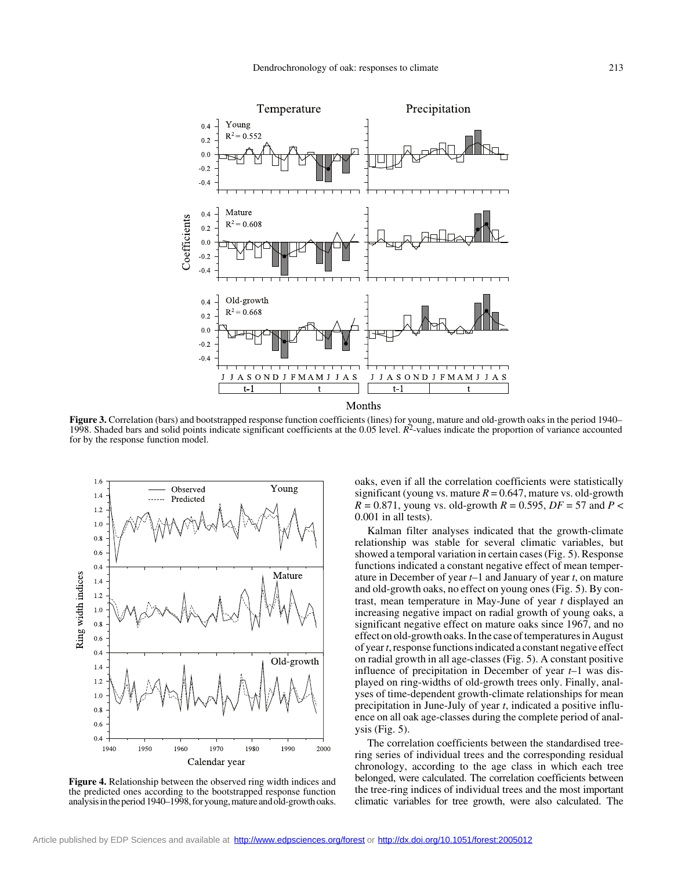

**Figure 3.** Correlation (bars) and bootstrapped response function coefficients (lines) for young, mature and old-growth oaks in the period 1940– 1998. Shaded bars and solid points indicate significant coefficients at the 0.05 level. *R*2-values indicate the proportion of variance accounted for by the response function model.



**Figure 4.** Relationship between the observed ring width indices and the predicted ones according to the bootstrapped response function analysis in the period 1940–1998, for young, mature and old-growth oaks.

oaks, even if all the correlation coefficients were statistically significant (young vs. mature  $R = 0.647$ , mature vs. old-growth  $R = 0.871$ , young vs. old-growth  $R = 0.595$ ,  $DF = 57$  and  $P <$ 0.001 in all tests).

Kalman filter analyses indicated that the growth-climate relationship was stable for several climatic variables, but showed a temporal variation in certain cases (Fig. 5). Response functions indicated a constant negative effect of mean temperature in December of year *t*–1 and January of year *t*, on mature and old-growth oaks, no effect on young ones (Fig. 5). By contrast, mean temperature in May-June of year *t* displayed an increasing negative impact on radial growth of young oaks, a significant negative effect on mature oaks since 1967, and no effect on old-growth oaks. In the case of temperatures in August of year *t*, response functions indicated a constant negative effect on radial growth in all age-classes (Fig. 5). A constant positive influence of precipitation in December of year *t*–1 was displayed on ring-widths of old-growth trees only. Finally, analyses of time-dependent growth-climate relationships for mean precipitation in June-July of year *t*, indicated a positive influence on all oak age-classes during the complete period of analysis (Fig.  $5$ ).

The correlation coefficients between the standardised treering series of individual trees and the corresponding residual chronology, according to the age class in which each tree belonged, were calculated. The correlation coefficients between the tree-ring indices of individual trees and the most important climatic variables for tree growth, were also calculated. The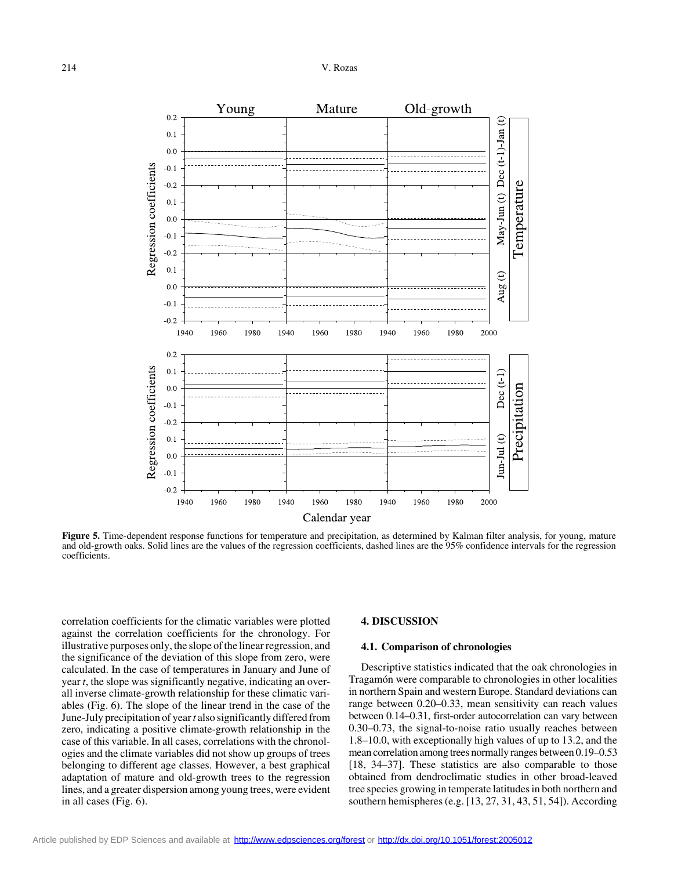

**Figure 5.** Time-dependent response functions for temperature and precipitation, as determined by Kalman filter analysis, for young, mature and old-growth oaks. Solid lines are the values of the regression coefficients, dashed lines are the 95% confidence intervals for the regression coefficients.

correlation coefficients for the climatic variables were plotted against the correlation coefficients for the chronology. For illustrative purposes only, the slope of the linear regression, and the significance of the deviation of this slope from zero, were calculated. In the case of temperatures in January and June of year *t*, the slope was significantly negative, indicating an overall inverse climate-growth relationship for these climatic variables (Fig. 6). The slope of the linear trend in the case of the June-July precipitation of year *t* also significantly differed from zero, indicating a positive climate-growth relationship in the case of this variable. In all cases, correlations with the chronologies and the climate variables did not show up groups of trees belonging to different age classes. However, a best graphical adaptation of mature and old-growth trees to the regression lines, and a greater dispersion among young trees, were evident in all cases (Fig. 6).

## **4. DISCUSSION**

## **4.1. Comparison of chronologies**

Descriptive statistics indicated that the oak chronologies in Tragamón were comparable to chronologies in other localities in northern Spain and western Europe. Standard deviations can range between 0.20–0.33, mean sensitivity can reach values between 0.14–0.31, first-order autocorrelation can vary between 0.30–0.73, the signal-to-noise ratio usually reaches between 1.8–10.0, with exceptionally high values of up to 13.2, and the mean correlation among trees normally ranges between 0.19–0.53 [18, 34–37]. These statistics are also comparable to those obtained from dendroclimatic studies in other broad-leaved tree species growing in temperate latitudes in both northern and southern hemispheres (e.g. [13, 27, 31, 43, 51, 54]). According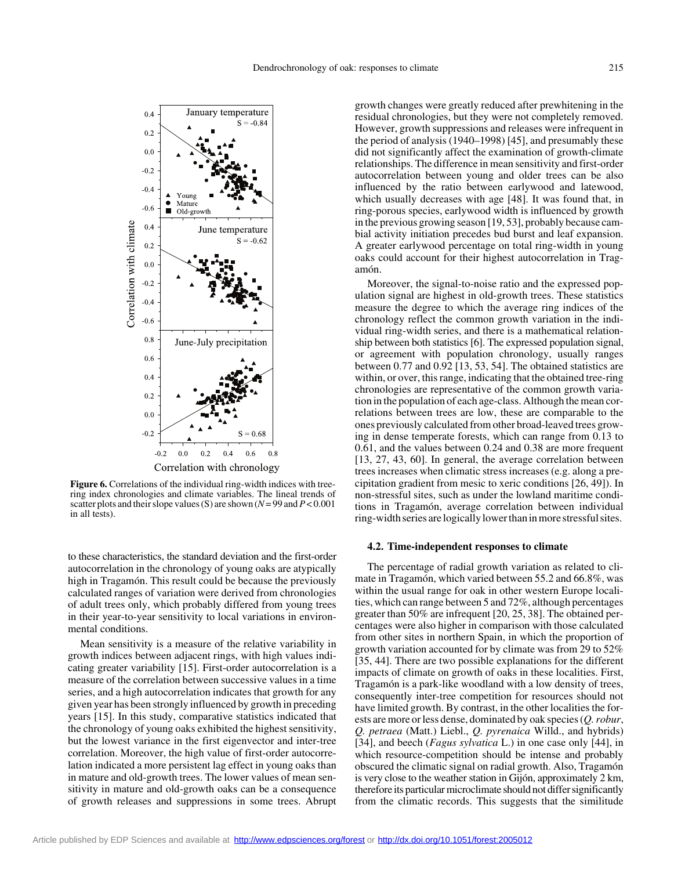

**Figure 6.** Correlations of the individual ring-width indices with treering index chronologies and climate variables. The lineal trends of scatter plots and their slope values (S) are shown (*N* = 99 and *P* < 0.001 in all tests).

to these characteristics, the standard deviation and the first-order autocorrelation in the chronology of young oaks are atypically high in Tragamón. This result could be because the previously calculated ranges of variation were derived from chronologies of adult trees only, which probably differed from young trees in their year-to-year sensitivity to local variations in environmental conditions.

Mean sensitivity is a measure of the relative variability in growth indices between adjacent rings, with high values indicating greater variability [15]. First-order autocorrelation is a measure of the correlation between successive values in a time series, and a high autocorrelation indicates that growth for any given year has been strongly influenced by growth in preceding years [15]. In this study, comparative statistics indicated that the chronology of young oaks exhibited the highest sensitivity, but the lowest variance in the first eigenvector and inter-tree correlation. Moreover, the high value of first-order autocorrelation indicated a more persistent lag effect in young oaks than in mature and old-growth trees. The lower values of mean sensitivity in mature and old-growth oaks can be a consequence of growth releases and suppressions in some trees. Abrupt

growth changes were greatly reduced after prewhitening in the residual chronologies, but they were not completely removed. However, growth suppressions and releases were infrequent in the period of analysis (1940–1998) [45], and presumably these did not significantly affect the examination of growth-climate relationships. The difference in mean sensitivity and first-order autocorrelation between young and older trees can be also influenced by the ratio between earlywood and latewood, which usually decreases with age [48]. It was found that, in ring-porous species, earlywood width is influenced by growth in the previous growing season [19, 53], probably because cambial activity initiation precedes bud burst and leaf expansion. A greater earlywood percentage on total ring-width in young oaks could account for their highest autocorrelation in Tragamón.

Moreover, the signal-to-noise ratio and the expressed population signal are highest in old-growth trees. These statistics measure the degree to which the average ring indices of the chronology reflect the common growth variation in the individual ring-width series, and there is a mathematical relationship between both statistics [6]. The expressed population signal, or agreement with population chronology, usually ranges between 0.77 and 0.92 [13, 53, 54]. The obtained statistics are within, or over, this range, indicating that the obtained tree-ring chronologies are representative of the common growth variation in the population of each age-class. Although the mean correlations between trees are low, these are comparable to the ones previously calculated from other broad-leaved trees growing in dense temperate forests, which can range from 0.13 to 0.61, and the values between 0.24 and 0.38 are more frequent [13, 27, 43, 60]. In general, the average correlation between trees increases when climatic stress increases (e.g. along a precipitation gradient from mesic to xeric conditions [26, 49]). In non-stressful sites, such as under the lowland maritime conditions in Tragamón, average correlation between individual ring-width series are logically lower than in more stressful sites.

#### **4.2. Time-independent responses to climate**

The percentage of radial growth variation as related to climate in Tragamón, which varied between 55.2 and 66.8%, was within the usual range for oak in other western Europe localities, which can range between 5 and 72%, although percentages greater than 50% are infrequent [20, 25, 38]. The obtained percentages were also higher in comparison with those calculated from other sites in northern Spain, in which the proportion of growth variation accounted for by climate was from 29 to 52% [35, 44]. There are two possible explanations for the different impacts of climate on growth of oaks in these localities. First, Tragamón is a park-like woodland with a low density of trees, consequently inter-tree competition for resources should not have limited growth. By contrast, in the other localities the forests are more or less dense, dominated by oak species (*Q. robur*, *Q. petraea* (Matt.) Liebl., *Q. pyrenaica* Willd., and hybrids) [34], and beech (*Fagus sylvatica* L.) in one case only [44], in which resource-competition should be intense and probably obscured the climatic signal on radial growth. Also, Tragamón is very close to the weather station in Gijón, approximately 2 km, therefore its particular microclimate should not differ significantly from the climatic records. This suggests that the similitude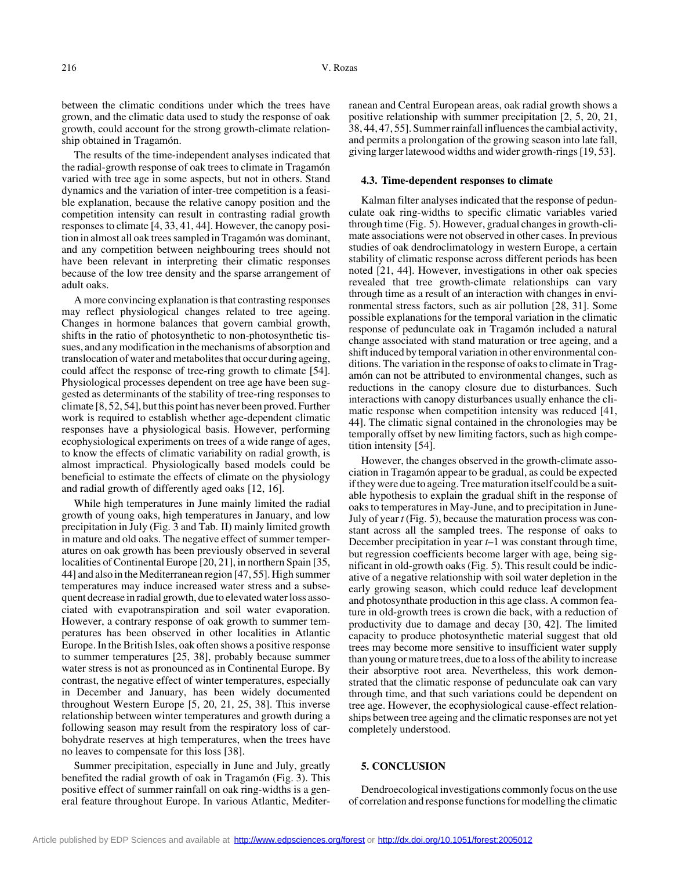between the climatic conditions under which the trees have grown, and the climatic data used to study the response of oak growth, could account for the strong growth-climate relationship obtained in Tragamón.

The results of the time-independent analyses indicated that the radial-growth response of oak trees to climate in Tragamón varied with tree age in some aspects, but not in others. Stand dynamics and the variation of inter-tree competition is a feasible explanation, because the relative canopy position and the competition intensity can result in contrasting radial growth responses to climate [4, 33, 41, 44]. However, the canopy position in almost all oak trees sampled in Tragamón was dominant, and any competition between neighbouring trees should not have been relevant in interpreting their climatic responses because of the low tree density and the sparse arrangement of adult oaks.

A more convincing explanation is that contrasting responses may reflect physiological changes related to tree ageing. Changes in hormone balances that govern cambial growth, shifts in the ratio of photosynthetic to non-photosynthetic tissues, and any modification in the mechanisms of absorption and translocation of water and metabolites that occur during ageing, could affect the response of tree-ring growth to climate [54]. Physiological processes dependent on tree age have been suggested as determinants of the stability of tree-ring responses to climate [8, 52, 54], but this point has never been proved. Further work is required to establish whether age-dependent climatic responses have a physiological basis. However, performing ecophysiological experiments on trees of a wide range of ages, to know the effects of climatic variability on radial growth, is almost impractical. Physiologically based models could be beneficial to estimate the effects of climate on the physiology and radial growth of differently aged oaks [12, 16].

While high temperatures in June mainly limited the radial growth of young oaks, high temperatures in January, and low precipitation in July (Fig. 3 and Tab. II) mainly limited growth in mature and old oaks. The negative effect of summer temperatures on oak growth has been previously observed in several localities of Continental Europe [20, 21], in northern Spain [35, 44] and also in the Mediterranean region [47, 55]. High summer temperatures may induce increased water stress and a subsequent decrease in radial growth, due to elevated water loss associated with evapotranspiration and soil water evaporation. However, a contrary response of oak growth to summer temperatures has been observed in other localities in Atlantic Europe. In the British Isles, oak often shows a positive response to summer temperatures [25, 38], probably because summer water stress is not as pronounced as in Continental Europe. By contrast, the negative effect of winter temperatures, especially in December and January, has been widely documented throughout Western Europe [5, 20, 21, 25, 38]. This inverse relationship between winter temperatures and growth during a following season may result from the respiratory loss of carbohydrate reserves at high temperatures, when the trees have no leaves to compensate for this loss [38].

Summer precipitation, especially in June and July, greatly benefited the radial growth of oak in Tragamón (Fig. 3). This positive effect of summer rainfall on oak ring-widths is a general feature throughout Europe. In various Atlantic, Mediterranean and Central European areas, oak radial growth shows a positive relationship with summer precipitation [2, 5, 20, 21, 38, 44, 47, 55]. Summer rainfall influences the cambial activity, and permits a prolongation of the growing season into late fall, giving larger latewood widths and wider growth-rings [19, 53].

## **4.3. Time-dependent responses to climate**

Kalman filter analyses indicated that the response of pedunculate oak ring-widths to specific climatic variables varied through time (Fig. 5). However, gradual changes in growth-climate associations were not observed in other cases. In previous studies of oak dendroclimatology in western Europe, a certain stability of climatic response across different periods has been noted [21, 44]. However, investigations in other oak species revealed that tree growth-climate relationships can vary through time as a result of an interaction with changes in environmental stress factors, such as air pollution [28, 31]. Some possible explanations for the temporal variation in the climatic response of pedunculate oak in Tragamón included a natural change associated with stand maturation or tree ageing, and a shift induced by temporal variation in other environmental conditions. The variation in the response of oaks to climate in Tragamón can not be attributed to environmental changes, such as reductions in the canopy closure due to disturbances. Such interactions with canopy disturbances usually enhance the climatic response when competition intensity was reduced [41, 44]. The climatic signal contained in the chronologies may be temporally offset by new limiting factors, such as high competition intensity [54].

However, the changes observed in the growth-climate association in Tragamón appear to be gradual, as could be expected if they were due to ageing. Tree maturation itself could be a suitable hypothesis to explain the gradual shift in the response of oaks to temperatures in May-June, and to precipitation in June-July of year *t* (Fig. 5), because the maturation process was constant across all the sampled trees. The response of oaks to December precipitation in year *t*–1 was constant through time, but regression coefficients become larger with age, being significant in old-growth oaks (Fig. 5). This result could be indicative of a negative relationship with soil water depletion in the early growing season, which could reduce leaf development and photosynthate production in this age class. A common feature in old-growth trees is crown die back, with a reduction of productivity due to damage and decay [30, 42]. The limited capacity to produce photosynthetic material suggest that old trees may become more sensitive to insufficient water supply than young or mature trees, due to a loss of the ability to increase their absorptive root area. Nevertheless, this work demonstrated that the climatic response of pedunculate oak can vary through time, and that such variations could be dependent on tree age. However, the ecophysiological cause-effect relationships between tree ageing and the climatic responses are not yet completely understood.

## **5. CONCLUSION**

Dendroecological investigations commonly focus on the use of correlation and response functions for modelling the climatic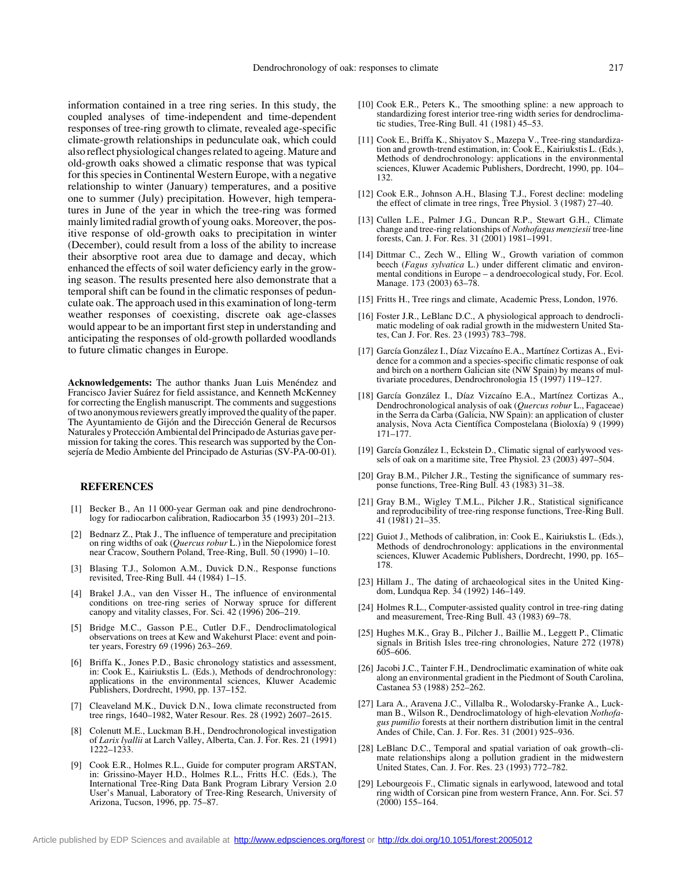information contained in a tree ring series. In this study, the coupled analyses of time-independent and time-dependent responses of tree-ring growth to climate, revealed age-specific climate-growth relationships in pedunculate oak, which could also reflect physiological changes related to ageing. Mature and old-growth oaks showed a climatic response that was typical for this species in Continental Western Europe, with a negative relationship to winter (January) temperatures, and a positive one to summer (July) precipitation. However, high temperatures in June of the year in which the tree-ring was formed mainly limited radial growth of young oaks. Moreover, the positive response of old-growth oaks to precipitation in winter (December), could result from a loss of the ability to increase their absorptive root area due to damage and decay, which enhanced the effects of soil water deficiency early in the growing season. The results presented here also demonstrate that a temporal shift can be found in the climatic responses of pedunculate oak. The approach used in this examination of long-term weather responses of coexisting, discrete oak age-classes would appear to be an important first step in understanding and anticipating the responses of old-growth pollarded woodlands to future climatic changes in Europe.

**Acknowledgements:** The author thanks Juan Luis Menéndez and Francisco Javier Suárez for field assistance, and Kenneth McKenney for correcting the English manuscript. The comments and suggestions of two anonymous reviewers greatly improved the quality of the paper. The Ayuntamiento de Gijón and the Dirección General de Recursos Naturales y Protección Ambiental del Principado de Asturias gave permission for taking the cores. This research was supported by the Consejería de Medio Ambiente del Principado de Asturias (SV-PA-00-01).

## **REFERENCES**

- [1] Becker B., An 11 000-year German oak and pine dendrochronology for radiocarbon calibration, Radiocarbon 35 (1993) 201–213.
- [2] Bednarz Z., Ptak J., The influence of temperature and precipitation on ring widths of oak (*Quercus robur* L.) in the Niepolomice forest near Cracow, Southern Poland, Tree-Ring, Bull. 50 (1990) 1–10.
- [3] Blasing T.J., Solomon A.M., Duvick D.N., Response functions revisited, Tree-Ring Bull. 44 (1984) 1–15.
- [4] Brakel J.A., van den Visser H., The influence of environmental conditions on tree-ring series of Norway spruce for different canopy and vitality classes, For. Sci. 42 (1996) 206–219.
- [5] Bridge M.C., Gasson P.E., Cutler D.F., Dendroclimatological observations on trees at Kew and Wakehurst Place: event and pointer years, Forestry 69 (1996) 263–269.
- [6] Briffa K., Jones P.D., Basic chronology statistics and assessment, in: Cook E., Kairiukstis L. (Eds.), Methods of dendrochronology: applications in the environmental sciences, Kluwer Academic Publishers, Dordrecht, 1990, pp. 137–152.
- [7] Cleaveland M.K., Duvick D.N., Iowa climate reconstructed from tree rings, 1640–1982, Water Resour. Res. 28 (1992) 2607–2615.
- [8] Colenutt M.E., Luckman B.H., Dendrochronological investigation of *Larix lyallii* at Larch Valley, Alberta, Can. J. For. Res. 21 (1991) 1222–1233.
- [9] Cook E.R., Holmes R.L., Guide for computer program ARSTAN, in: Grissino-Mayer H.D., Holmes R.L., Fritts H.C. (Eds.), The International Tree-Ring Data Bank Program Library Version 2.0 User's Manual, Laboratory of Tree-Ring Research, University of Arizona, Tucson, 1996, pp. 75–87.
- [10] Cook E.R., Peters K., The smoothing spline: a new approach to standardizing forest interior tree-ring width series for dendroclimatic studies, Tree-Ring Bull. 41 (1981) 45–53.
- [11] Cook E., Briffa K., Shiyatov S., Mazepa V., Tree-ring standardization and growth-trend estimation, in: Cook E., Kairiukstis L. (Eds.), Methods of dendrochronology: applications in the environmental sciences, Kluwer Academic Publishers, Dordrecht, 1990, pp. 104– 132.
- [12] Cook E.R., Johnson A.H., Blasing T.J., Forest decline: modeling the effect of climate in tree rings, Tree Physiol. 3 (1987) 27–40.
- [13] Cullen L.E., Palmer J.G., Duncan R.P., Stewart G.H., Climate change and tree-ring relationships of *Nothofagus menziesii* tree-line forests, Can. J. For. Res. 31 (2001) 1981–1991.
- [14] Dittmar C., Zech W., Elling W., Growth variation of common beech (*Fagus sylvatica* L.) under different climatic and environmental conditions in Europe – a dendroecological study, For. Ecol. Manage. 173 (2003) 63–78.
- [15] Fritts H., Tree rings and climate, Academic Press, London, 1976.
- [16] Foster J.R., LeBlanc D.C., A physiological approach to dendroclimatic modeling of oak radial growth in the midwestern United States, Can J. For. Res. 23 (1993) 783–798.
- [17] García González I., Díaz Vizcaíno E.A., Martínez Cortizas A., Evidence for a common and a species-specific climatic response of oak and birch on a northern Galician site (NW Spain) by means of multivariate procedures, Dendrochronologia 15 (1997) 119–127.
- [18] García González I., Díaz Vizcaíno E.A., Martínez Cortizas A., Dendrochronological analysis of oak (*Quercus robur* L., Fagaceae) in the Serra da Carba (Galicia, NW Spain): an application of cluster analysis, Nova Acta Científica Compostelana (Bioloxía) 9 (1999) 171–177.
- [19] García González I., Eckstein D., Climatic signal of earlywood vessels of oak on a maritime site, Tree Physiol. 23 (2003) 497–504.
- [20] Gray B.M., Pilcher J.R., Testing the significance of summary response functions, Tree-Ring Bull. 43 (1983) 31–38.
- [21] Gray B.M., Wigley T.M.L., Pilcher J.R., Statistical significance and reproducibility of tree-ring response functions, Tree-Ring Bull. 41 (1981) 21–35.
- [22] Guiot J., Methods of calibration, in: Cook E., Kairiukstis L. (Eds.), Methods of dendrochronology: applications in the environmental sciences, Kluwer Academic Publishers, Dordrecht, 1990, pp. 165– 178.
- [23] Hillam J., The dating of archaeological sites in the United Kingdom, Lundqua Rep. 34 (1992) 146–149.
- [24] Holmes R.L., Computer-assisted quality control in tree-ring dating and measurement, Tree-Ring Bull. 43 (1983) 69–78.
- [25] Hughes M.K., Gray B., Pilcher J., Baillie M., Leggett P., Climatic signals in British Isles tree-ring chronologies, Nature 272 (1978) 605–606.
- [26] Jacobi J.C., Tainter F.H., Dendroclimatic examination of white oak along an environmental gradient in the Piedmont of South Carolina, Castanea 53 (1988) 252–262.
- [27] Lara A., Aravena J.C., Villalba R., Wolodarsky-Franke A., Luckman B., Wilson R., Dendroclimatology of high-elevation *Nothofagus pumilio* forests at their northern distribution limit in the central Andes of Chile, Can. J. For. Res. 31 (2001) 925–936.
- [28] LeBlanc D.C., Temporal and spatial variation of oak growth–climate relationships along a pollution gradient in the midwestern United States, Can. J. For. Res. 23 (1993) 772–782.
- [29] Lebourgeois F., Climatic signals in earlywood, latewood and total ring width of Corsican pine from western France, Ann. For. Sci. 57 (2000) 155–164.